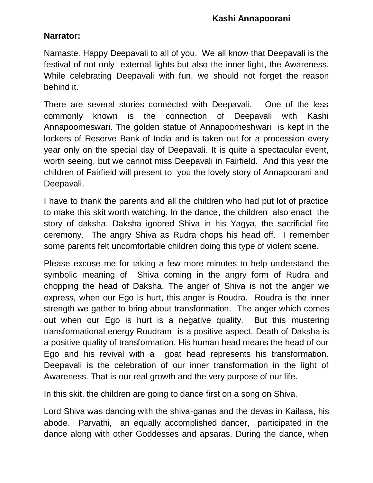#### **Narrator:**

Namaste. Happy Deepavali to all of you. We all know that Deepavali is the festival of not only external lights but also the inner light, the Awareness. While celebrating Deepavali with fun, we should not forget the reason behind it.

There are several stories connected with Deepavali. One of the less commonly known is the connection of Deepavali with Kashi Annapoorneswari. The golden statue of Annapoorneshwari is kept in the lockers of Reserve Bank of India and is taken out for a procession every year only on the special day of Deepavali. It is quite a spectacular event, worth seeing, but we cannot miss Deepavali in Fairfield. And this year the children of Fairfield will present to you the lovely story of Annapoorani and Deepavali.

I have to thank the parents and all the children who had put lot of practice to make this skit worth watching. In the dance, the children also enact the story of daksha. Daksha ignored Shiva in his Yagya, the sacrificial fire ceremony. The angry Shiva as Rudra chops his head off. I remember some parents felt uncomfortable children doing this type of violent scene.

Please excuse me for taking a few more minutes to help understand the symbolic meaning of Shiva coming in the angry form of Rudra and chopping the head of Daksha. The anger of Shiva is not the anger we express, when our Ego is hurt, this anger is Roudra. Roudra is the inner strength we gather to bring about transformation. The anger which comes out when our Ego is hurt is a negative quality. But this mustering transformational energy Roudram is a positive aspect. Death of Daksha is a positive quality of transformation. His human head means the head of our Ego and his revival with a goat head represents his transformation. Deepavali is the celebration of our inner transformation in the light of Awareness. That is our real growth and the very purpose of our life.

In this skit, the children are going to dance first on a song on Shiva.

Lord Shiva was dancing with the shiva-ganas and the devas in Kailasa, his abode. Parvathi, an equally accomplished dancer, participated in the dance along with other Goddesses and apsaras. During the dance, when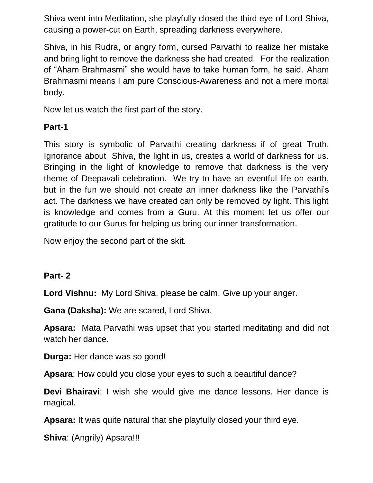Shiva went into Meditation, she playfully closed the third eye of Lord Shiva, causing a power-cut on Earth, spreading darkness everywhere.

Shiva, in his Rudra, or angry form, cursed Parvathi to realize her mistake and bring light to remove the darkness she had created. For the realization of "Aham Brahmasmi" she would have to take human form, he said. Aham Brahmasmi means I am pure Conscious-Awareness and not a mere mortal body.

Now let us watch the first part of the story.

## **Part-1**

This story is symbolic of Parvathi creating darkness if of great Truth. Ignorance about Shiva, the light in us, creates a world of darkness for us. Bringing in the light of knowledge to remove that darkness is the very theme of Deepavali celebration. We try to have an eventful life on earth, but in the fun we should not create an inner darkness like the Parvathi's act. The darkness we have created can only be removed by light. This light is knowledge and comes from a Guru. At this moment let us offer our gratitude to our Gurus for helping us bring our inner transformation.

Now enjoy the second part of the skit.

## **Part- 2**

**Lord Vishnu:** My Lord Shiva, please be calm. Give up your anger.

**Gana (Daksha):** We are scared, Lord Shiva.

**Apsara:** Mata Parvathi was upset that you started meditating and did not watch her dance.

**Durga:** Her dance was so good!

**Apsara**: How could you close your eyes to such a beautiful dance?

**Devi Bhairavi**: I wish she would give me dance lessons. Her dance is magical.

**Apsara:** It was quite natural that she playfully closed your third eye.

**Shiva**: (Angrily) Apsara!!!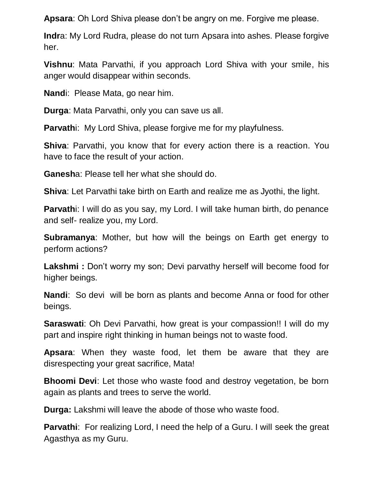**Apsara**: Oh Lord Shiva please don't be angry on me. Forgive me please.

**Indr**a: My Lord Rudra, please do not turn Apsara into ashes. Please forgive her.

**Vishnu**: Mata Parvathi, if you approach Lord Shiva with your smile, his anger would disappear within seconds.

**Nand**i: Please Mata, go near him.

**Durga**: Mata Parvathi, only you can save us all.

**Parvath**i: My Lord Shiva, please forgive me for my playfulness.

**Shiva**: Parvathi, you know that for every action there is a reaction. You have to face the result of your action.

**Ganesh**a: Please tell her what she should do.

**Shiva**: Let Parvathi take birth on Earth and realize me as Jyothi, the light.

**Parvath**i: I will do as you say, my Lord. I will take human birth, do penance and self- realize you, my Lord.

**Subramanya**: Mother, but how will the beings on Earth get energy to perform actions?

**Lakshmi :** Don't worry my son; Devi parvathy herself will become food for higher beings.

**Nandi**: So devi will be born as plants and become Anna or food for other beings.

**Saraswati**: Oh Devi Parvathi, how great is your compassion!! I will do my part and inspire right thinking in human beings not to waste food.

**Apsara**: When they waste food, let them be aware that they are disrespecting your great sacrifice, Mata!

**Bhoomi Devi**: Let those who waste food and destroy vegetation, be born again as plants and trees to serve the world.

**Durga:** Lakshmi will leave the abode of those who waste food.

**Parvathi**: For realizing Lord, I need the help of a Guru. I will seek the great Agasthya as my Guru.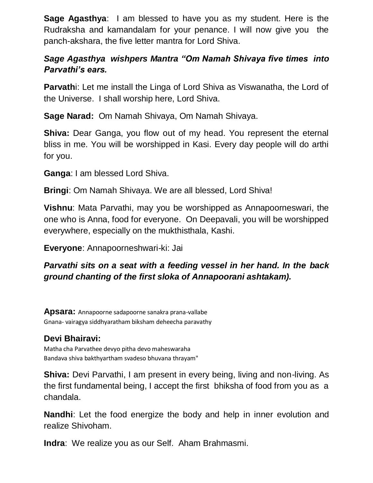**Sage Agasthya**: I am blessed to have you as my student. Here is the Rudraksha and kamandalam for your penance. I will now give you the panch-akshara, the five letter mantra for Lord Shiva.

# *Sage Agasthya wishpers Mantra "Om Namah Shivaya five times into Parvathi's ears.*

**Parvath**i: Let me install the Linga of Lord Shiva as Viswanatha, the Lord of the Universe. I shall worship here, Lord Shiva.

**Sage Narad:** Om Namah Shivaya, Om Namah Shivaya.

**Shiva:** Dear Ganga, you flow out of my head. You represent the eternal bliss in me. You will be worshipped in Kasi. Every day people will do arthi for you.

**Ganga**: I am blessed Lord Shiva.

**Bringi**: Om Namah Shivaya. We are all blessed, Lord Shiva!

**Vishnu**: Mata Parvathi, may you be worshipped as Annapoorneswari, the one who is Anna, food for everyone. On Deepavali, you will be worshipped everywhere, especially on the mukthisthala, Kashi.

**Everyone**: Annapoorneshwari-ki: Jai

## *Parvathi sits on a seat with a feeding vessel in her hand. In the back ground chanting of the first sloka of Annapoorani ashtakam).*

**Apsara:** Annapoorne sadapoorne sanakra prana-vallabe Gnana- vairagya siddhyaratham biksham deheecha paravathy

# **Devi Bhairavi:**

Matha cha Parvathee devyo pitha devo maheswaraha Bandava shiva bakthyartham svadeso bhuvana thrayam"

**Shiva:** Devi Parvathi, I am present in every being, living and non-living. As the first fundamental being, I accept the first bhiksha of food from you as a chandala.

**Nandhi**: Let the food energize the body and help in inner evolution and realize Shivoham.

**Indra**: We realize you as our Self. Aham Brahmasmi.